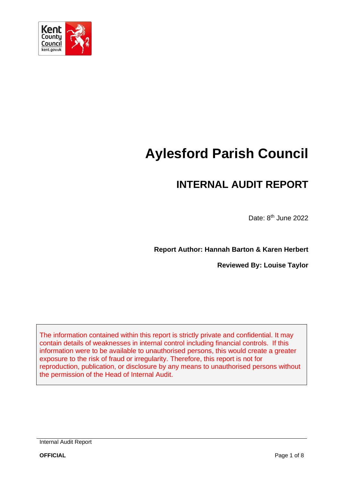

# **Aylesford Parish Council**

## **INTERNAL AUDIT REPORT**

Date: 8<sup>th</sup> June 2022

**Report Author: Hannah Barton & Karen Herbert**

**Reviewed By: Louise Taylor**

The information contained within this report is strictly private and confidential. It may contain details of weaknesses in internal control including financial controls. If this information were to be available to unauthorised persons, this would create a greater exposure to the risk of fraud or irregularity. Therefore, this report is not for reproduction, publication, or disclosure by any means to unauthorised persons without the permission of the Head of Internal Audit.

Internal Audit Report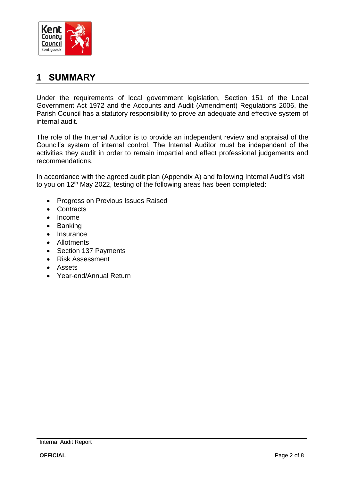

### **1 SUMMARY**

Under the requirements of local government legislation, Section 151 of the Local Government Act 1972 and the Accounts and Audit (Amendment) Regulations 2006, the Parish Council has a statutory responsibility to prove an adequate and effective system of internal audit.

The role of the Internal Auditor is to provide an independent review and appraisal of the Council's system of internal control. The Internal Auditor must be independent of the activities they audit in order to remain impartial and effect professional judgements and recommendations.

In accordance with the agreed audit plan (Appendix A) and following Internal Audit's visit to you on 12<sup>th</sup> May 2022, testing of the following areas has been completed:

- Progress on Previous Issues Raised
- Contracts
- Income
- Banking
- Insurance
- Allotments
- Section 137 Payments
- Risk Assessment
- Assets
- Year-end/Annual Return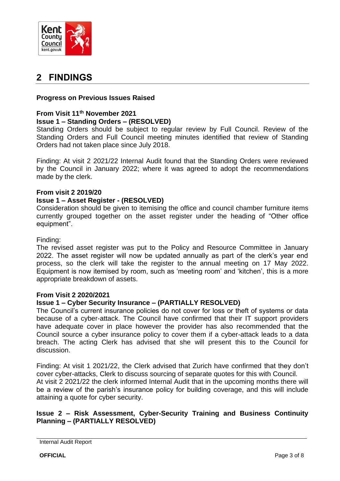

## **2 FINDINGS**

#### **Progress on Previous Issues Raised**

#### **From Visit 11th November 2021**

#### **Issue 1 – Standing Orders – (RESOLVED)**

Standing Orders should be subject to regular review by Full Council. Review of the Standing Orders and Full Council meeting minutes identified that review of Standing Orders had not taken place since July 2018.

Finding: At visit 2 2021/22 Internal Audit found that the Standing Orders were reviewed by the Council in January 2022; where it was agreed to adopt the recommendations made by the clerk.

#### **From visit 2 2019/20**

#### **Issue 1 – Asset Register - (RESOLVED)**

Consideration should be given to itemising the office and council chamber furniture items currently grouped together on the asset register under the heading of "Other office equipment".

#### Finding:

The revised asset register was put to the Policy and Resource Committee in January 2022. The asset register will now be updated annually as part of the clerk's year end process, so the clerk will take the register to the annual meeting on 17 May 2022. Equipment is now itemised by room, such as 'meeting room' and 'kitchen', this is a more appropriate breakdown of assets.

#### **From Visit 2 2020/2021**

#### **Issue 1 – Cyber Security Insurance – (PARTIALLY RESOLVED)**

The Council's current insurance policies do not cover for loss or theft of systems or data because of a cyber-attack. The Council have confirmed that their IT support providers have adequate cover in place however the provider has also recommended that the Council source a cyber insurance policy to cover them if a cyber-attack leads to a data breach. The acting Clerk has advised that she will present this to the Council for discussion.

Finding: At visit 1 2021/22, the Clerk advised that Zurich have confirmed that they don't cover cyber-attacks, Clerk to discuss sourcing of separate quotes for this with Council. At visit 2 2021/22 the clerk informed Internal Audit that in the upcoming months there will be a review of the parish's insurance policy for building coverage, and this will include attaining a quote for cyber security.

#### **Issue 2 – Risk Assessment, Cyber-Security Training and Business Continuity Planning – (PARTIALLY RESOLVED)**

| Internal Audit Report |  |  |
|-----------------------|--|--|
|-----------------------|--|--|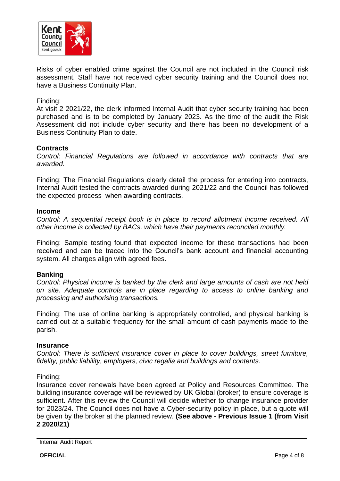

Risks of cyber enabled crime against the Council are not included in the Council risk assessment. Staff have not received cyber security training and the Council does not have a Business Continuity Plan.

#### Finding:

At visit 2 2021/22, the clerk informed Internal Audit that cyber security training had been purchased and is to be completed by January 2023. As the time of the audit the Risk Assessment did not include cyber security and there has been no development of a Business Continuity Plan to date.

#### **Contracts**

*Control: Financial Regulations are followed in accordance with contracts that are awarded.*

Finding: The Financial Regulations clearly detail the process for entering into contracts, Internal Audit tested the contracts awarded during 2021/22 and the Council has followed the expected process when awarding contracts.

#### **Income**

*Control: A sequential receipt book is in place to record allotment income received. All other income is collected by BACs, which have their payments reconciled monthly.* 

Finding: Sample testing found that expected income for these transactions had been received and can be traced into the Council's bank account and financial accounting system. All charges align with agreed fees.

#### **Banking**

*Control: Physical income is banked by the clerk and large amounts of cash are not held on site. Adequate controls are in place regarding to access to online banking and processing and authorising transactions.*

Finding: The use of online banking is appropriately controlled, and physical banking is carried out at a suitable frequency for the small amount of cash payments made to the parish.

#### **Insurance**

*Control: There is sufficient insurance cover in place to cover buildings, street furniture, fidelity, public liability, employers, civic regalia and buildings and contents.*

#### Finding:

Insurance cover renewals have been agreed at Policy and Resources Committee. The building insurance coverage will be reviewed by UK Global (broker) to ensure coverage is sufficient. After this review the Council will decide whether to change insurance provider for 2023/24. The Council does not have a Cyber-security policy in place, but a quote will be given by the broker at the planned review. **(See above - Previous Issue 1 (from Visit 2 2020/21)**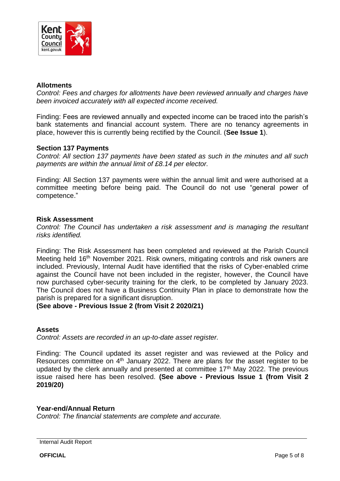

#### **Allotments**

*Control: Fees and charges for allotments have been reviewed annually and charges have been invoiced accurately with all expected income received.*

Finding: Fees are reviewed annually and expected income can be traced into the parish's bank statements and financial account system. There are no tenancy agreements in place, however this is currently being rectified by the Council. (**See Issue 1**).

#### **Section 137 Payments**

*Control: All section 137 payments have been stated as such in the minutes and all such payments are within the annual limit of £8.14 per elector.*

Finding: All Section 137 payments were within the annual limit and were authorised at a committee meeting before being paid. The Council do not use "general power of competence."

#### **Risk Assessment**

*Control: The Council has undertaken a risk assessment and is managing the resultant risks identified.*

Finding: The Risk Assessment has been completed and reviewed at the Parish Council Meeting held 16<sup>th</sup> November 2021. Risk owners, mitigating controls and risk owners are included. Previously, Internal Audit have identified that the risks of Cyber-enabled crime against the Council have not been included in the register, however, the Council have now purchased cyber-security training for the clerk, to be completed by January 2023. The Council does not have a Business Continuity Plan in place to demonstrate how the parish is prepared for a significant disruption.

#### **(See above - Previous Issue 2 (from Visit 2 2020/21)**

#### **Assets**

*Control: Assets are recorded in an up-to-date asset register.* 

Finding: The Council updated its asset register and was reviewed at the Policy and Resources committee on 4<sup>th</sup> January 2022. There are plans for the asset register to be updated by the clerk annually and presented at committee 17<sup>th</sup> May 2022. The previous issue raised here has been resolved. **(See above - Previous Issue 1 (from Visit 2 2019/20)**

#### **Year-end/Annual Return**

*Control: The financial statements are complete and accurate.*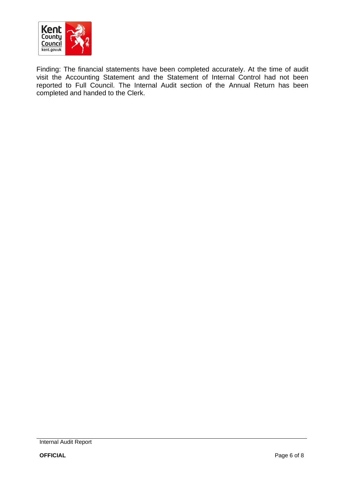

Finding: The financial statements have been completed accurately. At the time of audit visit the Accounting Statement and the Statement of Internal Control had not been reported to Full Council. The Internal Audit section of the Annual Return has been completed and handed to the Clerk.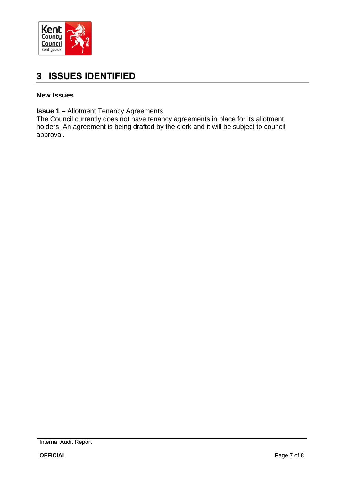

## **3 ISSUES IDENTIFIED**

#### **New Issues**

**Issue 1** – Allotment Tenancy Agreements

The Council currently does not have tenancy agreements in place for its allotment holders. An agreement is being drafted by the clerk and it will be subject to council approval.